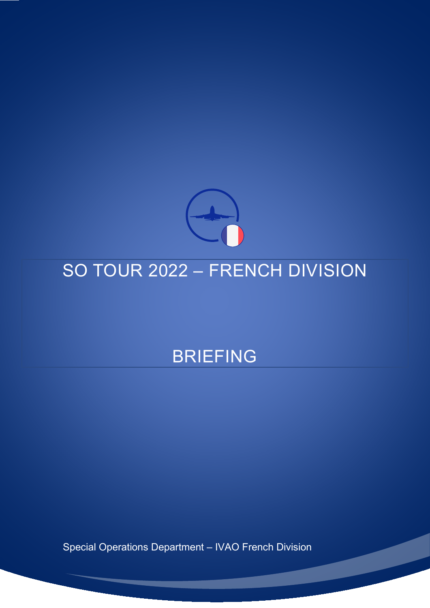

# SO TOUR 2022 – FRENCH DIVISION

# BRIEFING

Special Operations Department – IVAO French Division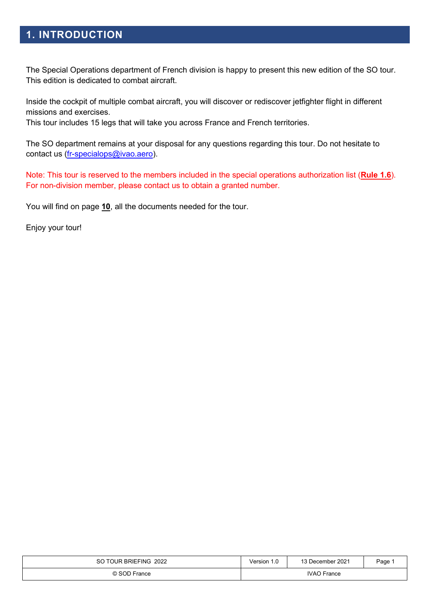# **1. INTRODUCTION**

The Special Operations department of French division is happy to present this new edition of the SO tour. This edition is dedicated to combat aircraft.

Inside the cockpit of multiple combat aircraft, you will discover or rediscover jetfighter flight in different missions and exercises.

This tour includes 15 legs that will take you across France and French territories.

The SO department remains at your disposal for any questions regarding this tour. Do not hesitate to contact us [\(fr-specialops@ivao.aero\)](mailto:fr-specialops@ivao.aero).

Note: This tour is reserved to the members included in the special operations authorization list (**[Rule 1.6](https://www.ivao.fr/en/pages/so/rules)**). For non-division member, please contact us to obtain a granted number.

You will find on page **[10](#page-9-0)**, all the documents needed for the tour.

Enjoy your tour!

| SO TOUR BRIEFING 2022 | Version 1.0        | 13 December 2021 | Page. |
|-----------------------|--------------------|------------------|-------|
| © SOD France          | <b>IVAO</b> France |                  |       |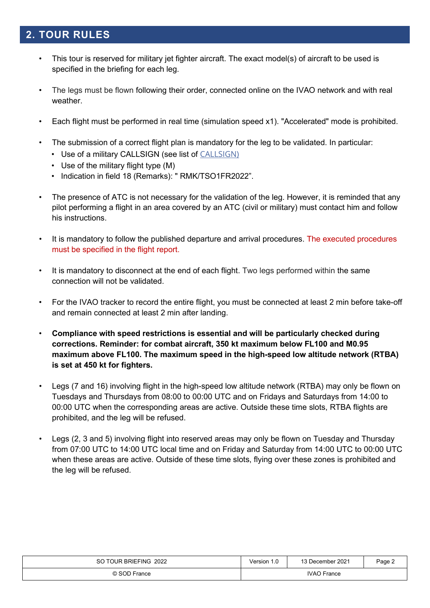# **2. TOUR RULES**

- This tour is reserved for military jet fighter aircraft. The exact model(s) of aircraft to be used is specified in the briefing for each leg.
- The legs must be flown following their order, connected online on the IVAO network and with real weather.
- Each flight must be performed in real time (simulation speed x1). "Accelerated" mode is prohibited.
- The submission of a correct flight plan is mandatory for the leg to be validated. In particular:
	- Use of a military CALLSIGN (see list of [CALLSIGN\)](#page-9-0)
	- Use of the military flight type (M)
	- Indication in field 18 (Remarks): " RMK/TSO1FR2022".
- The presence of ATC is not necessary for the validation of the leg. However, it is reminded that any pilot performing a flight in an area covered by an ATC (civil or military) must contact him and follow his instructions.
- It is mandatory to follow the published departure and arrival procedures. The executed procedures must be specified in the flight report.
- It is mandatory to disconnect at the end of each flight. Two legs performed within the same connection will not be validated.
- For the IVAO tracker to record the entire flight, you must be connected at least 2 min before take-off and remain connected at least 2 min after landing.
- **Compliance with speed restrictions is essential and will be particularly checked during corrections. Reminder: for combat aircraft, 350 kt maximum below FL100 and M0.95 maximum above FL100. The maximum speed in the high-speed low altitude network (RTBA) is set at 450 kt for fighters.**
- Legs (7 and 16) involving flight in the high-speed low altitude network (RTBA) may only be flown on Tuesdays and Thursdays from 08:00 to 00:00 UTC and on Fridays and Saturdays from 14:00 to 00:00 UTC when the corresponding areas are active. Outside these time slots, RTBA flights are prohibited, and the leg will be refused.
- Legs (2, 3 and 5) involving flight into reserved areas may only be flown on Tuesday and Thursday from 07:00 UTC to 14:00 UTC local time and on Friday and Saturday from 14:00 UTC to 00:00 UTC when these areas are active. Outside of these time slots, flying over these zones is prohibited and the leg will be refused.

| SO TOUR BRIEFING 2022 | Version 1.0        | 13 December 2021 | Page 2 |
|-----------------------|--------------------|------------------|--------|
| © SOD France          | <b>IVAO</b> France |                  |        |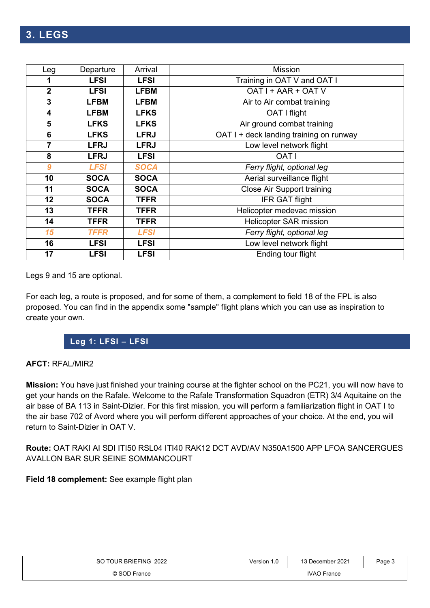| Leg              | Departure   | Arrival     | <b>Mission</b>                          |  |  |
|------------------|-------------|-------------|-----------------------------------------|--|--|
| 1                | <b>LFSI</b> | <b>LFSI</b> | Training in OAT V and OAT I             |  |  |
| $\overline{2}$   | <b>LFSI</b> | <b>LFBM</b> | OAT I + AAR + OAT V                     |  |  |
| 3                | <b>LFBM</b> | <b>LFBM</b> | Air to Air combat training              |  |  |
| 4                | <b>LFBM</b> | <b>LFKS</b> | OAT I flight                            |  |  |
| 5                | <b>LFKS</b> | <b>LFKS</b> | Air ground combat training              |  |  |
| $6\phantom{1}$   | <b>LFKS</b> | <b>LFRJ</b> | OAT I + deck landing training on runway |  |  |
| $\overline{7}$   | <b>LFRJ</b> | <b>LFRJ</b> | Low level network flight                |  |  |
| 8                | <b>LFRJ</b> | <b>LFSI</b> | <b>OAT I</b>                            |  |  |
| $\boldsymbol{9}$ | <b>LFSI</b> | SOCA        | Ferry flight, optional leg              |  |  |
| 10               | <b>SOCA</b> | <b>SOCA</b> | Aerial surveillance flight              |  |  |
| 11               | <b>SOCA</b> | <b>SOCA</b> | <b>Close Air Support training</b>       |  |  |
| 12               | <b>SOCA</b> | <b>TFFR</b> | <b>IFR GAT flight</b>                   |  |  |
| 13               | <b>TFFR</b> | <b>TFFR</b> | Helicopter medevac mission              |  |  |
| 14               | <b>TFFR</b> | <b>TFFR</b> | <b>Helicopter SAR mission</b>           |  |  |
| 15               | <b>TFFR</b> | <b>LFSI</b> | Ferry flight, optional leg              |  |  |
| 16               | <b>LFSI</b> | <b>LFSI</b> | Low level network flight                |  |  |
| 17               | <b>LFSI</b> | <b>LFSI</b> | Ending tour flight                      |  |  |

Legs 9 and 15 are optional.

For each leg, a route is proposed, and for some of them, a complement to field 18 of the FPL is also proposed. You can find in the appendix some "sample" flight plans which you can use as inspiration to create your own.

# **Leg 1: LFSI – LFSI**

### **AFCT:** RFAL/MIR2

**Mission:** You have just finished your training course at the fighter school on the PC21, you will now have to get your hands on the Rafale. Welcome to the Rafale Transformation Squadron (ETR) 3/4 Aquitaine on the air base of BA 113 in Saint-Dizier. For this first mission, you will perform a familiarization flight in OAT I to the air base 702 of Avord where you will perform different approaches of your choice. At the end, you will return to Saint-Dizier in OAT V.

**Route:** OAT RAKI AI SDI ITI50 RSL04 ITI40 RAK12 DCT AVD/AV N350A1500 APP LFOA SANCERGUES AVALLON BAR SUR SEINE SOMMANCOURT

| SO TOUR BRIEFING 2022 | Version 1.0        | 13 December 2021 | Page 3 |
|-----------------------|--------------------|------------------|--------|
| © SOD France          | <b>IVAO France</b> |                  |        |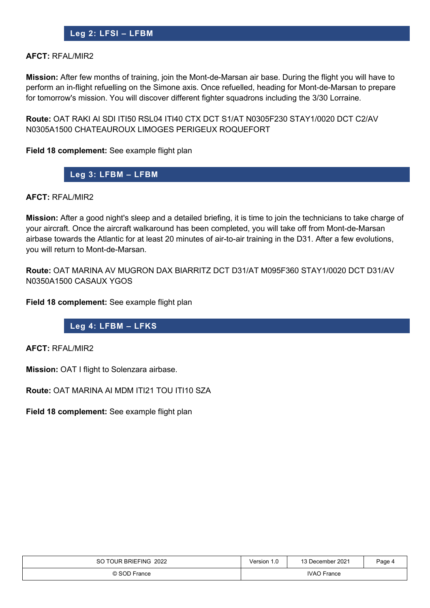# **Leg 2: LFSI – LFBM**

#### **AFCT:** RFAL/MIR2

**Mission:** After few months of training, join the Mont-de-Marsan air base. During the flight you will have to perform an in-flight refuelling on the Simone axis. Once refuelled, heading for Mont-de-Marsan to prepare for tomorrow's mission. You will discover different fighter squadrons including the 3/30 Lorraine.

**Route:** OAT RAKI AI SDI ITI50 RSL04 ITI40 CTX DCT S1/AT N0305F230 STAY1/0020 DCT C2/AV N0305A1500 CHATEAUROUX LIMOGES PERIGEUX ROQUEFORT

**Field 18 complement:** See example flight plan

**Leg 3: LFBM – LFBM**

#### **AFCT:** RFAL/MIR2

**Mission:** After a good night's sleep and a detailed briefing, it is time to join the technicians to take charge of your aircraft. Once the aircraft walkaround has been completed, you will take off from Mont-de-Marsan airbase towards the Atlantic for at least 20 minutes of air-to-air training in the D31. After a few evolutions, you will return to Mont-de-Marsan.

**Route:** OAT MARINA AV MUGRON DAX BIARRITZ DCT D31/AT M095F360 STAY1/0020 DCT D31/AV N0350A1500 CASAUX YGOS

**Field 18 complement:** See example flight plan

#### **Leg 4: LFBM – LFKS**

**AFCT:** RFAL/MIR2

**Mission:** OAT I flight to Solenzara airbase.

**Route:** OAT MARINA AI MDM ITI21 TOU ITI10 SZA

| SO TOUR BRIEFING 2022 | Version 1.0        | 13 December 2021 | Page 4 |
|-----------------------|--------------------|------------------|--------|
| © SOD France          | <b>IVAO France</b> |                  |        |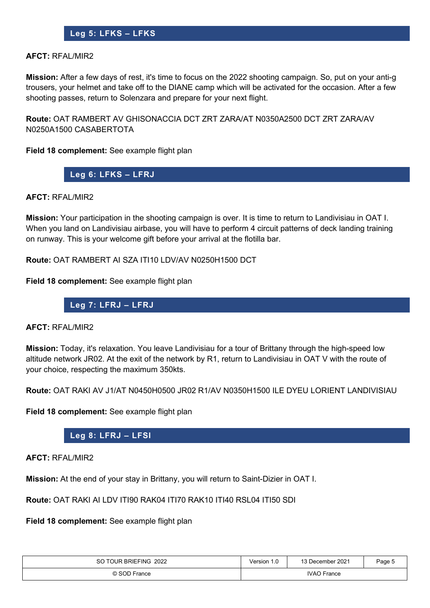# **Leg 5: LFKS – LFKS**

#### **AFCT:** RFAL/MIR2

**Mission:** After a few days of rest, it's time to focus on the 2022 shooting campaign. So, put on your anti-g trousers, your helmet and take off to the DIANE camp which will be activated for the occasion. After a few shooting passes, return to Solenzara and prepare for your next flight.

**Route:** OAT RAMBERT AV GHISONACCIA DCT ZRT ZARA/AT N0350A2500 DCT ZRT ZARA/AV N0250A1500 CASABERTOTA

**Field 18 complement:** See example flight plan

**Leg 6: LFKS – LFRJ**

#### **AFCT:** RFAL/MIR2

**Mission:** Your participation in the shooting campaign is over. It is time to return to Landivisiau in OAT I. When you land on Landivisiau airbase, you will have to perform 4 circuit patterns of deck landing training on runway. This is your welcome gift before your arrival at the flotilla bar.

**Route:** OAT RAMBERT AI SZA ITI10 LDV/AV N0250H1500 DCT

**Field 18 complement:** See example flight plan

**Leg 7: LFRJ – LFRJ**

#### **AFCT:** RFAL/MIR2

**Mission:** Today, it's relaxation. You leave Landivisiau for a tour of Brittany through the high-speed low altitude network JR02. At the exit of the network by R1, return to Landivisiau in OAT V with the route of your choice, respecting the maximum 350kts.

**Route:** OAT RAKI AV J1/AT N0450H0500 JR02 R1/AV N0350H1500 ILE DYEU LORIENT LANDIVISIAU

**Field 18 complement:** See example flight plan

#### **Leg 8: LFRJ – LFSI**

**AFCT:** RFAL/MIR2

**Mission:** At the end of your stay in Brittany, you will return to Saint-Dizier in OAT I.

**Route:** OAT RAKI AI LDV ITI90 RAK04 ITI70 RAK10 ITI40 RSL04 ITI50 SDI

| SO TOUR BRIEFING 2022 | Version 1.0 | 13 December 2021 | Page 5 |
|-----------------------|-------------|------------------|--------|
| © SOD France          | IVAO France |                  |        |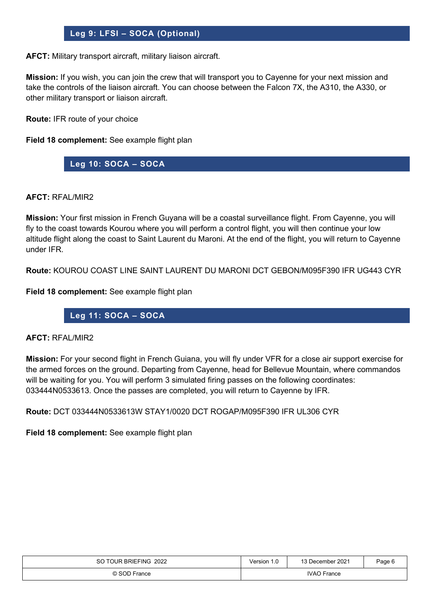# **Leg 9: LFSI – SOCA (Optional)**

**AFCT:** Military transport aircraft, military liaison aircraft.

**Mission:** If you wish, you can join the crew that will transport you to Cayenne for your next mission and take the controls of the liaison aircraft. You can choose between the Falcon 7X, the A310, the A330, or other military transport or liaison aircraft.

**Route:** IFR route of your choice

**Field 18 complement:** See example flight plan

**Leg 10: SOCA – SOCA**

**AFCT:** RFAL/MIR2

**Mission:** Your first mission in French Guyana will be a coastal surveillance flight. From Cayenne, you will fly to the coast towards Kourou where you will perform a control flight, you will then continue your low altitude flight along the coast to Saint Laurent du Maroni. At the end of the flight, you will return to Cayenne under IFR.

**Route:** KOUROU COAST LINE SAINT LAURENT DU MARONI DCT GEBON/M095F390 IFR UG443 CYR

**Field 18 complement:** See example flight plan

**Leg 11: SOCA – SOCA**

#### **AFCT:** RFAL/MIR2

**Mission:** For your second flight in French Guiana, you will fly under VFR for a close air support exercise for the armed forces on the ground. Departing from Cayenne, head for Bellevue Mountain, where commandos will be waiting for you. You will perform 3 simulated firing passes on the following coordinates: 033444N0533613. Once the passes are completed, you will return to Cayenne by IFR.

**Route:** DCT 033444N0533613W STAY1/0020 DCT ROGAP/M095F390 IFR UL306 CYR

| SO TOUR BRIEFING 2022 | Version 1.0        | 13 December 2021 | Paqe 6 |
|-----------------------|--------------------|------------------|--------|
| © SOD France          | <b>IVAO</b> France |                  |        |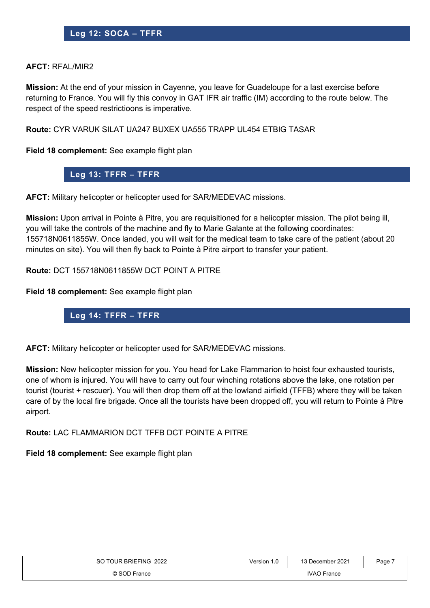#### **AFCT:** RFAL/MIR2

**Mission:** At the end of your mission in Cayenne, you leave for Guadeloupe for a last exercise before returning to France. You will fly this convoy in GAT IFR air traffic (IM) according to the route below. The respect of the speed restrictioons is imperative.

**Route:** CYR VARUK SILAT UA247 BUXEX UA555 TRAPP UL454 ETBIG TASAR

**Field 18 complement:** See example flight plan

## **Leg 13: TFFR – TFFR**

**AFCT:** Military helicopter or helicopter used for SAR/MEDEVAC missions.

**Mission:** Upon arrival in Pointe à Pitre, you are requisitioned for a helicopter mission. The pilot being ill, you will take the controls of the machine and fly to Marie Galante at the following coordinates: 155718N0611855W. Once landed, you will wait for the medical team to take care of the patient (about 20 minutes on site). You will then fly back to Pointe à Pitre airport to transfer your patient.

**Route:** DCT 155718N0611855W DCT POINT A PITRE

**Field 18 complement:** See example flight plan

# **Leg 14: TFFR – TFFR**

**AFCT:** Military helicopter or helicopter used for SAR/MEDEVAC missions.

**Mission:** New helicopter mission for you. You head for Lake Flammarion to hoist four exhausted tourists, one of whom is injured. You will have to carry out four winching rotations above the lake, one rotation per tourist (tourist + rescuer). You will then drop them off at the lowland airfield (TFFB) where they will be taken care of by the local fire brigade. Once all the tourists have been dropped off, you will return to Pointe à Pitre airport.

**Route:** LAC FLAMMARION DCT TFFB DCT POINTE A PITRE

| SO TOUR BRIEFING 2022 | Version 1.0        | 13 December 2021 | Page, |
|-----------------------|--------------------|------------------|-------|
| © SOD France          | <b>IVAO</b> France |                  |       |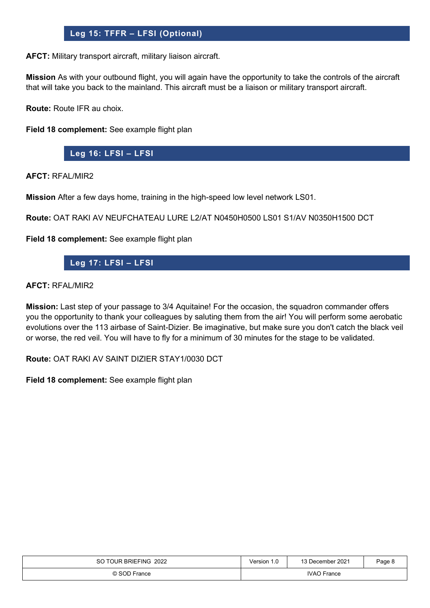# **Leg 15: TFFR – LFSI (Optional)**

**AFCT:** Military transport aircraft, military liaison aircraft.

**Mission** As with your outbound flight, you will again have the opportunity to take the controls of the aircraft that will take you back to the mainland. This aircraft must be a liaison or military transport aircraft.

**Route:** Route IFR au choix.

**Field 18 complement:** See example flight plan

**Leg 16: LFSI – LFSI**

**AFCT:** RFAL/MIR2

**Mission** After a few days home, training in the high-speed low level network LS01.

**Route:** OAT RAKI AV NEUFCHATEAU LURE L2/AT N0450H0500 LS01 S1/AV N0350H1500 DCT

**Field 18 complement:** See example flight plan

## **Leg 17: LFSI – LFSI**

#### **AFCT:** RFAL/MIR2

**Mission:** Last step of your passage to 3/4 Aquitaine! For the occasion, the squadron commander offers you the opportunity to thank your colleagues by saluting them from the air! You will perform some aerobatic evolutions over the 113 airbase of Saint-Dizier. Be imaginative, but make sure you don't catch the black veil or worse, the red veil. You will have to fly for a minimum of 30 minutes for the stage to be validated.

**Route:** OAT RAKI AV SAINT DIZIER STAY1/0030 DCT

| SO TOUR BRIEFING 2022 | Version 1.0        | 13 December 2021 | Page 8 |
|-----------------------|--------------------|------------------|--------|
| © SOD France          | <b>IVAO France</b> |                  |        |